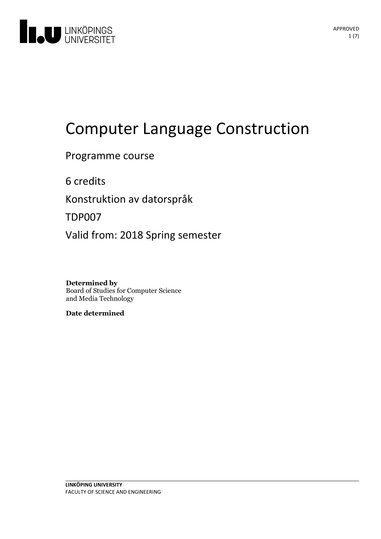

# Computer Language Construction

Programme course

6 credits

Konstruktion av datorspråk

TDP007

Valid from: 2018 Spring semester

**Determined by** Board of Studies for Computer Science and Media Technology

**Date determined**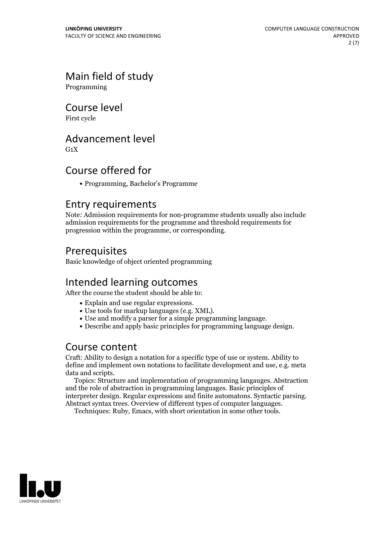# Main field of study

Programming

Course level

First cycle

### Advancement level

 $G_1X$ 

# Course offered for

Programming, Bachelor's Programme

### Entry requirements

Note: Admission requirements for non-programme students usually also include admission requirements for the programme and threshold requirements for progression within the programme, or corresponding.

# Prerequisites

Basic knowledge of object oriented programming

# Intended learning outcomes

After the course the student should be able to:

- 
- 
- Explain and use regular expressions. Use tools for markup languages (e.g. XML). Use and modify <sup>a</sup> parser for <sup>a</sup> simple programming language. Describe and apply basic principles for programming language design.
- 

# Course content

Craft: Ability to design a notation for a specific type of use or system. Ability to define and implement own notations to facilitate development and use, e.g. meta data and scripts. Topics: Structure and implementation of programming langauges. Abstraction

and the role of abstraction in programming languages. Basic principles of interpreter design. Regular expressions and finite automatons. Syntactic parsing. Abstract syntax trees. Overview of different types of computer languages. Techniques: Ruby, Emacs, with short orientation in some other tools.

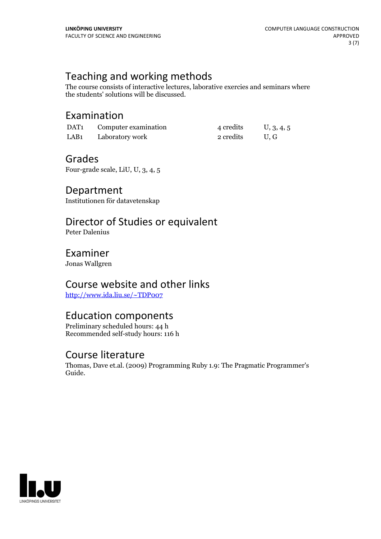# Teaching and working methods

The course consists of interactive lectures, laborative exercies and seminars where the students' solutions will be discussed.

# Examination

| DAT1             | Computer examination | 4 credits | U, 3, 4, 5 |
|------------------|----------------------|-----------|------------|
| LAB <sub>1</sub> | Laboratory work      | 2 credits | U.G        |

### Grades

Four-grade scale, LiU, U, 3, 4, 5

### Department

Institutionen för datavetenskap

# Director of Studies or equivalent

Peter Dalenius

# Examiner

Jonas Wallgren

# Course website and other links

<http://www.ida.liu.se/~TDP007>

# Education components

Preliminary scheduled hours: 44 h Recommended self-study hours: 116 h

### Course literature

Thomas, Dave et.al. (2009) Programming Ruby 1.9: The Pragmatic Programmer's Guide.

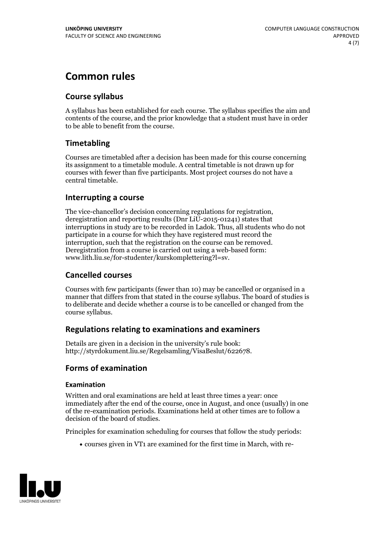# **Common rules**

### **Course syllabus**

A syllabus has been established for each course. The syllabus specifies the aim and contents of the course, and the prior knowledge that a student must have in order to be able to benefit from the course.

### **Timetabling**

Courses are timetabled after a decision has been made for this course concerning its assignment to a timetable module. A central timetable is not drawn up for courses with fewer than five participants. Most project courses do not have a central timetable.

### **Interrupting a course**

The vice-chancellor's decision concerning regulations for registration, deregistration and reporting results (Dnr LiU-2015-01241) states that interruptions in study are to be recorded in Ladok. Thus, all students who do not participate in a course for which they have registered must record the interruption, such that the registration on the course can be removed. Deregistration from <sup>a</sup> course is carried outusing <sup>a</sup> web-based form: www.lith.liu.se/for-studenter/kurskomplettering?l=sv.

### **Cancelled courses**

Courses with few participants (fewer than 10) may be cancelled or organised in a manner that differs from that stated in the course syllabus. The board of studies is to deliberate and decide whether a course is to be cancelled orchanged from the course syllabus.

### **Regulations relatingto examinations and examiners**

Details are given in a decision in the university's rule book: http://styrdokument.liu.se/Regelsamling/VisaBeslut/622678.

### **Forms of examination**

### **Examination**

Written and oral examinations are held at least three times a year: once immediately after the end of the course, once in August, and once (usually) in one of the re-examination periods. Examinations held at other times are to follow a decision of the board of studies.

Principles for examination scheduling for courses that follow the study periods:

courses given in VT1 are examined for the first time in March, with re-

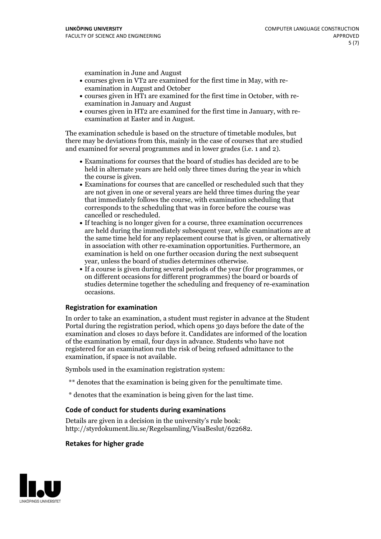examination in June and August

- courses given in VT2 are examined for the first time in May, with re-examination in August and October
- courses given in HT1 are examined for the first time in October, with re-examination in January and August
- courses given in HT2 are examined for the first time in January, with re-examination at Easter and in August.

The examination schedule is based on the structure of timetable modules, but there may be deviations from this, mainly in the case of courses that are studied and examined for several programmes and in lower grades (i.e. 1 and 2).

- Examinations for courses that the board of studies has decided are to be held in alternate years are held only three times during the year in which
- the course is given.<br>• Examinations for courses that are cancelled or rescheduled such that they are not given in one or several years are held three times during the year that immediately follows the course, with examination scheduling that corresponds to the scheduling that was in force before the course was cancelled or rescheduled.<br>• If teaching is no longer given for a course, three examination occurrences
- are held during the immediately subsequent year, while examinations are at the same time held for any replacement course that is given, or alternatively in association with other re-examination opportunities. Furthermore, an examination is held on one further occasion during the next subsequent year, unless the board of studies determines otherwise.<br>• If a course is given during several periods of the year (for programmes, or
- on different occasions for different programmes) the board orboards of studies determine together the scheduling and frequency of re-examination occasions.

### **Registration for examination**

In order to take an examination, a student must register in advance at the Student Portal during the registration period, which opens 30 days before the date of the examination and closes 10 days before it. Candidates are informed of the location of the examination by email, four days in advance. Students who have not registered for an examination run the risk of being refused admittance to the examination, if space is not available.

Symbols used in the examination registration system:

- \*\* denotes that the examination is being given for the penultimate time.
- \* denotes that the examination is being given for the last time.

### **Code of conduct for students during examinations**

Details are given in a decision in the university's rule book: http://styrdokument.liu.se/Regelsamling/VisaBeslut/622682.

#### **Retakes for higher grade**

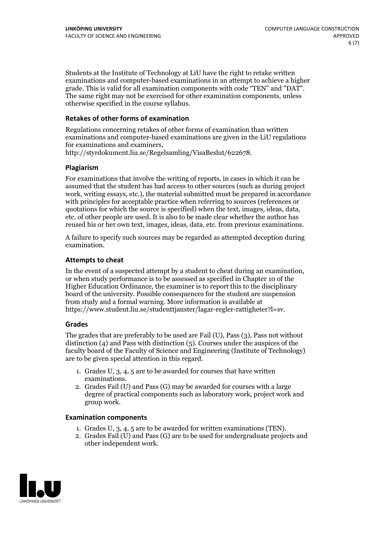Students at the Institute of Technology at LiU have the right to retake written examinations and computer-based examinations in an attempt to achieve a higher grade. This is valid for all examination components with code "TEN" and "DAT". The same right may not be exercised for other examination components, unless otherwise specified in the course syllabus.

### **Retakes of other forms of examination**

Regulations concerning retakes of other forms of examination than written examinations and computer-based examinations are given in the LiU regulations for examinations and examiners, http://styrdokument.liu.se/Regelsamling/VisaBeslut/622678.

### **Plagiarism**

For examinations that involve the writing of reports, in cases in which it can be assumed that the student has had access to other sources (such as during project work, writing essays, etc.), the material submitted must be prepared in accordance with principles for acceptable practice when referring to sources (references or quotations for which the source is specified) when the text, images, ideas, data, etc. of other people are used. It is also to be made clear whether the author has reused his or her own text, images, ideas, data, etc. from previous examinations.

A failure to specify such sources may be regarded as attempted deception during examination.

#### **Attempts to cheat**

In the event of <sup>a</sup> suspected attempt by <sup>a</sup> student to cheat during an examination, or when study performance is to be assessed as specified in Chapter <sup>10</sup> of the Higher Education Ordinance, the examiner is to report this to the disciplinary board of the university. Possible consequences for the student are suspension from study and a formal warning. More information is available at https://www.student.liu.se/studenttjanster/lagar-regler-rattigheter?l=sv.

### **Grades**

The grades that are preferably to be used are Fail (U), Pass (3), Pass not without distinction  $(4)$  and Pass with distinction  $(5)$ . Courses under the auspices of the faculty board of the Faculty of Science and Engineering (Institute of Technology) are to be given special attention in this regard.

- 1. Grades U, 3, 4, 5 are to be awarded for courses that have written
- examinations. 2. Grades Fail (U) and Pass (G) may be awarded for courses with <sup>a</sup> large degree of practical components such as laboratory work, project work and group work.

#### **Examination components**

- 
- 1. Grades U, 3, 4, <sup>5</sup> are to be awarded for written examinations (TEN). 2. Grades Fail (U) and Pass (G) are to be used for undergraduate projects and other independent work.